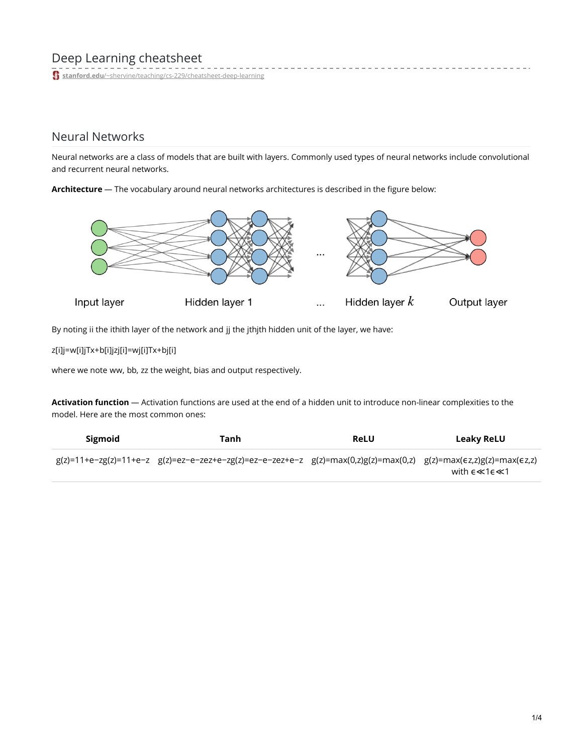# Deep Learning cheatsheet

**stanford.edu**[/~shervine/teaching/cs-229/cheatsheet-deep-learning](https://stanford.edu/~shervine/teaching/cs-229/cheatsheet-deep-learning)

## Neural Networks

Neural networks are a class of models that are built with layers. Commonly used types of neural networks include convolutional and recurrent neural networks.

**Architecture** ― The vocabulary around neural networks architectures is described in the figure below:



By noting ii the ithith layer of the network and jj the jthjth hidden unit of the layer, we have:

z[i]j=w[i]jTx+b[i]jzj[i]=wj[i]Tx+bj[i]

where we note ww, bb, zz the weight, bias and output respectively.

**Activation function** ― Activation functions are used at the end of a hidden unit to introduce non-linear complexities to the model. Here are the most common ones:

| Sigmoid | Tanh                                                                                                                 | <b>ReLU</b> | Leaky ReLU                           |
|---------|----------------------------------------------------------------------------------------------------------------------|-------------|--------------------------------------|
|         | $g(z)$ =11+e-zg(z)=11+e-z g(z)=ez-e-zez+e-zg(z)=ez-e-zez+e-z g(z)=max(0,z)g(z)=max(0,z) g(z)=max(ez,z)g(z)=max(ez,z) |             | with $\epsilon \ll 1 \epsilon \ll 1$ |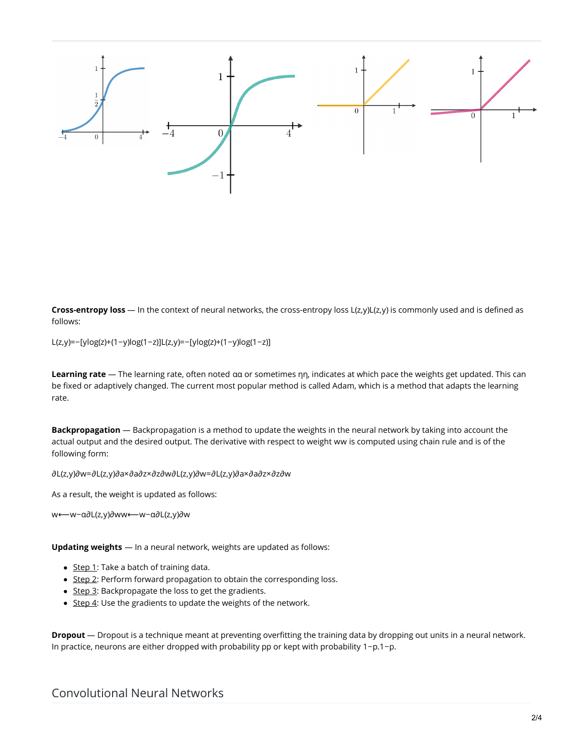

**Cross-entropy loss** ― In the context of neural networks, the cross-entropy loss L(z,y)L(z,y) is commonly used and is defined as follows:

L(z,y)=−[ylog(z)+(1−y)log(1−z)]L(z,y)=−[ylog(z)+(1−y)log(1−z)]

**Learning rate** ― The learning rate, often noted αα or sometimes ηη, indicates at which pace the weights get updated. This can be fixed or adaptively changed. The current most popular method is called Adam, which is a method that adapts the learning rate.

**Backpropagation** ― Backpropagation is a method to update the weights in the neural network by taking into account the actual output and the desired output. The derivative with respect to weight ww is computed using chain rule and is of the following form:

∂L(z,y)∂w=∂L(z,y)∂a×∂a∂z×∂z∂w∂L(z,y)∂w=∂L(z,y)∂a×∂a∂z×∂z∂w

As a result, the weight is updated as follows:

w⟵w−α∂L(z,y)∂ww⟵w−α∂L(z,y)∂w

**Updating weights** ― In a neural network, weights are updated as follows:

- $\bullet$  Step 1: Take a batch of training data.
- Step 2: Perform forward propagation to obtain the corresponding loss.
- Step 3: Backpropagate the loss to get the gradients.
- $\bullet$  Step 4: Use the gradients to update the weights of the network.

**Dropout** ― Dropout is a technique meant at preventing overfitting the training data by dropping out units in a neural network. In practice, neurons are either dropped with probability pp or kept with probability 1−p.1−p.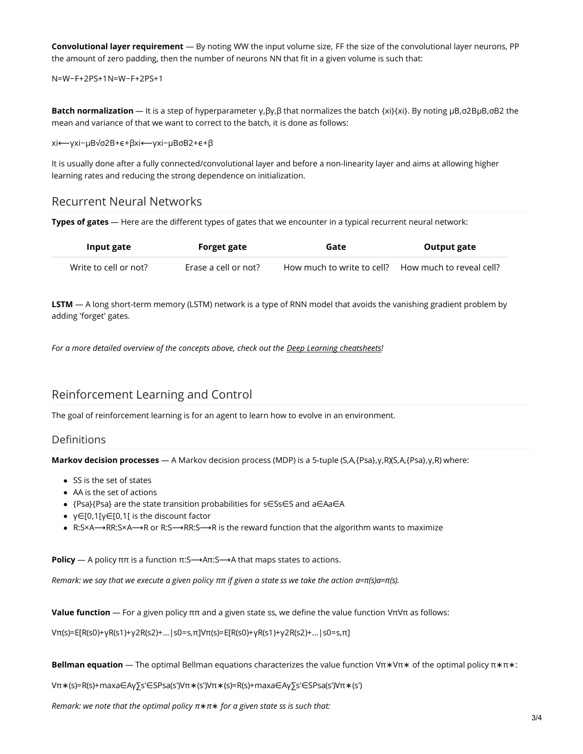**Convolutional layer requirement** ― By noting WW the input volume size, FF the size of the convolutional layer neurons, PP the amount of zero padding, then the number of neurons NN that fit in a given volume is such that:

N=W−F+2PS+1N=W−F+2PS+1

**Batch normalization** ― It is a step of hyperparameter γ,βγ,β that normalizes the batch {xi}{xi}. By noting μB,σ2BμB,σB2 the mean and variance of that we want to correct to the batch, it is done as follows:

xi⟵γxi−μB√σ2B+ϵ+βxi⟵γxi−μBσB2+ϵ+β

It is usually done after a fully connected/convolutional layer and before a non-linearity layer and aims at allowing higher learning rates and reducing the strong dependence on initialization.

### Recurrent Neural Networks

**Types of gates** ― Here are the different types of gates that we encounter in a typical recurrent neural network:

| Input gate            | Forget gate          | Gate                       | Output gate              |
|-----------------------|----------------------|----------------------------|--------------------------|
| Write to cell or not? | Erase a cell or not? | How much to write to cell? | How much to reveal cell? |

**LSTM** ― A long short-term memory (LSTM) network is a type of RNN model that avoids the vanishing gradient problem by adding 'forget' gates.

*For a more detailed overview of the concepts above, check out the Deep Learning [cheatsheets](https://stanford.edu/~shervine/teaching/cs-230)!*

### Reinforcement Learning and Control

The goal of reinforcement learning is for an agent to learn how to evolve in an environment.

#### **Definitions**

**Markov decision processes** ― A Markov decision process (MDP) is a 5-tuple (S,A,{Psa},γ,R)(S,A,{Psa},γ,R) where:

- SS is the set of states
- AA is the set of actions
- {Psa}{Psa} are the state transition probabilities for s∈Ss∈S and a∈Aa∈A
- γ∈[0,1[γ∈[0,1[ is the discount factor
- R:S×A $\rightarrow$ RR:S×A $\rightarrow$ R or R:S $\rightarrow$ RR:S $\rightarrow$ R is the reward function that the algorithm wants to maximize

**Policy** — A policy  $\pi\pi$  is a function  $\pi: S \rightarrow A\pi: S \rightarrow A$  that maps states to actions.

Remark: we say that we execute a given policy  $\pi\pi$  if given a state ss we take the action  $a=\pi(s)a=\pi(s)$ .

**Value function** ― For a given policy ππ and a given state ss, we define the value function VπVπ as follows:

Vπ(s)=E[R(s0)+γR(s1)+γ2R(s2)+...|s0=s,π]Vπ(s)=E[R(s0)+γR(s1)+γ2R(s2)+...|s0=s,π]

**Bellman equation** ― The optimal Bellman equations characterizes the value function Vπ∗Vπ∗ of the optimal policy π∗π∗:

Vπ∗(s)=R(s)+maxa∈Aγ∑s′∈SPsa(s′)Vπ∗(s′)Vπ∗(s)=R(s)+maxa∈Aγ∑s′∈SPsa(s′)Vπ∗(s′)

*Remark: we note that the optimal policy π*∗*π*∗ *for a given state ss is such that:*